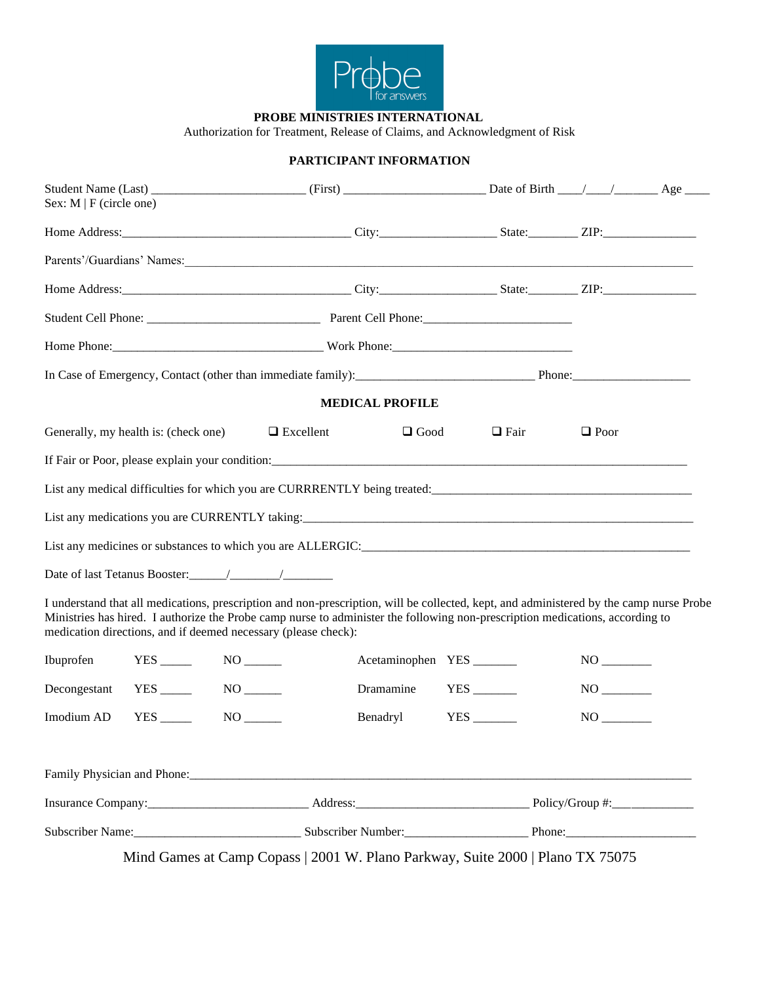

**PROBE MINISTRIES INTERNATIONAL**

Authorization for Treatment, Release of Claims, and Acknowledgment of Risk

## **PARTICIPANT INFORMATION**

| Sex: $M \mid F$ (circle one) |                                      |                                                                |                                                                                                                                                                                                                                                                          |                                                                                            |             |  |  |
|------------------------------|--------------------------------------|----------------------------------------------------------------|--------------------------------------------------------------------------------------------------------------------------------------------------------------------------------------------------------------------------------------------------------------------------|--------------------------------------------------------------------------------------------|-------------|--|--|
|                              |                                      |                                                                |                                                                                                                                                                                                                                                                          |                                                                                            |             |  |  |
|                              |                                      |                                                                | Parents'/Guardians' Names:                                                                                                                                                                                                                                               |                                                                                            |             |  |  |
|                              |                                      |                                                                |                                                                                                                                                                                                                                                                          |                                                                                            |             |  |  |
|                              |                                      |                                                                |                                                                                                                                                                                                                                                                          |                                                                                            |             |  |  |
|                              |                                      |                                                                |                                                                                                                                                                                                                                                                          |                                                                                            |             |  |  |
|                              |                                      |                                                                |                                                                                                                                                                                                                                                                          |                                                                                            |             |  |  |
|                              |                                      |                                                                | <b>MEDICAL PROFILE</b>                                                                                                                                                                                                                                                   |                                                                                            |             |  |  |
|                              | Generally, my health is: (check one) | $\Box$ Excellent                                               | $\Box$ Good                                                                                                                                                                                                                                                              | $\Box$ Fair                                                                                | $\Box$ Poor |  |  |
|                              |                                      |                                                                |                                                                                                                                                                                                                                                                          |                                                                                            |             |  |  |
|                              |                                      |                                                                |                                                                                                                                                                                                                                                                          |                                                                                            |             |  |  |
|                              |                                      |                                                                |                                                                                                                                                                                                                                                                          |                                                                                            |             |  |  |
|                              |                                      |                                                                |                                                                                                                                                                                                                                                                          |                                                                                            |             |  |  |
|                              |                                      |                                                                |                                                                                                                                                                                                                                                                          |                                                                                            |             |  |  |
|                              |                                      | medication directions, and if deemed necessary (please check): | I understand that all medications, prescription and non-prescription, will be collected, kept, and administered by the camp nurse Probe<br>Ministries has hired. I authorize the Probe camp nurse to administer the following non-prescription medications, according to |                                                                                            |             |  |  |
| Ibuprofen                    | $YES$ $NO$ $100$                     |                                                                |                                                                                                                                                                                                                                                                          | Acetaminophen YES ________                                                                 |             |  |  |
| Decongestant                 | $YES$ <sub>_____</sub>               |                                                                |                                                                                                                                                                                                                                                                          | Dramamine YES ________                                                                     |             |  |  |
| Imodium AD                   |                                      |                                                                | Benadryl                                                                                                                                                                                                                                                                 | $YES$ <sub>________</sub>                                                                  |             |  |  |
|                              |                                      |                                                                |                                                                                                                                                                                                                                                                          |                                                                                            |             |  |  |
|                              |                                      |                                                                |                                                                                                                                                                                                                                                                          |                                                                                            |             |  |  |
|                              |                                      |                                                                |                                                                                                                                                                                                                                                                          | Subscriber Name: Channel Communication of Subscriber Number: Channel Channel Phone: Phone: |             |  |  |

Mind Games at Camp Copass | 2001 W. Plano Parkway, Suite 2000 | Plano TX 75075